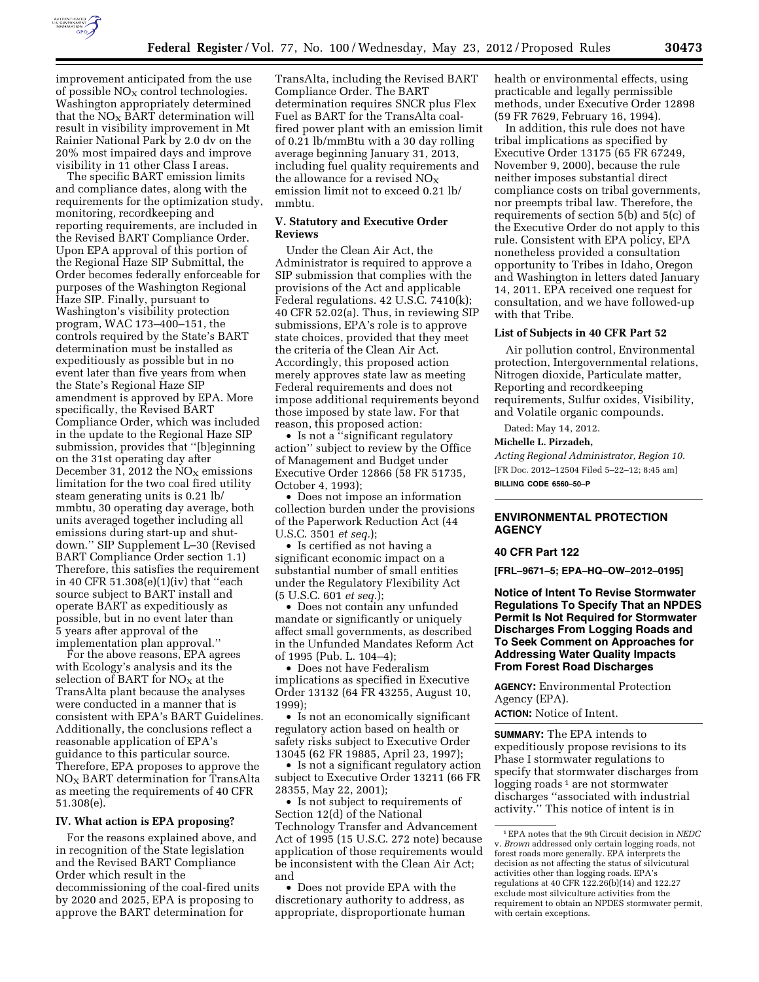

improvement anticipated from the use of possible  $NO<sub>X</sub>$  control technologies. Washington appropriately determined that the  $NO<sub>x</sub>$  BART determination will result in visibility improvement in Mt Rainier National Park by 2.0 dv on the 20% most impaired days and improve visibility in 11 other Class I areas.

The specific BART emission limits and compliance dates, along with the requirements for the optimization study, monitoring, recordkeeping and reporting requirements, are included in the Revised BART Compliance Order. Upon EPA approval of this portion of the Regional Haze SIP Submittal, the Order becomes federally enforceable for purposes of the Washington Regional Haze SIP. Finally, pursuant to Washington's visibility protection program, WAC 173–400–151, the controls required by the State's BART determination must be installed as expeditiously as possible but in no event later than five years from when the State's Regional Haze SIP amendment is approved by EPA. More specifically, the Revised BART Compliance Order, which was included in the update to the Regional Haze SIP submission, provides that ''[b]eginning on the 31st operating day after December 31, 2012 the  $NO<sub>X</sub>$  emissions limitation for the two coal fired utility steam generating units is 0.21 lb/ mmbtu, 30 operating day average, both units averaged together including all emissions during start-up and shutdown.'' SIP Supplement L–30 (Revised BART Compliance Order section 1.1) Therefore, this satisfies the requirement in 40 CFR 51.308(e)(1)(iv) that ''each source subject to BART install and operate BART as expeditiously as possible, but in no event later than 5 years after approval of the implementation plan approval.''

For the above reasons, EPA agrees with Ecology's analysis and its the selection of BART for  $NO<sub>X</sub>$  at the TransAlta plant because the analyses were conducted in a manner that is consistent with EPA's BART Guidelines. Additionally, the conclusions reflect a reasonable application of EPA's guidance to this particular source. Therefore, EPA proposes to approve the NOX BART determination for TransAlta as meeting the requirements of 40 CFR 51.308(e).

#### **IV. What action is EPA proposing?**

For the reasons explained above, and in recognition of the State legislation and the Revised BART Compliance Order which result in the decommissioning of the coal-fired units by 2020 and 2025, EPA is proposing to approve the BART determination for

TransAlta, including the Revised BART Compliance Order. The BART determination requires SNCR plus Flex Fuel as BART for the TransAlta coalfired power plant with an emission limit of 0.21 lb/mmBtu with a 30 day rolling average beginning January 31, 2013, including fuel quality requirements and the allowance for a revised  $NO<sub>x</sub>$ emission limit not to exceed 0.21 lb/ mmbtu.

# **V. Statutory and Executive Order Reviews**

Under the Clean Air Act, the Administrator is required to approve a SIP submission that complies with the provisions of the Act and applicable Federal regulations. 42 U.S.C. 7410(k); 40 CFR 52.02(a). Thus, in reviewing SIP submissions, EPA's role is to approve state choices, provided that they meet the criteria of the Clean Air Act. Accordingly, this proposed action merely approves state law as meeting Federal requirements and does not impose additional requirements beyond those imposed by state law. For that reason, this proposed action:

• Is not a "significant regulatory action'' subject to review by the Office of Management and Budget under Executive Order 12866 (58 FR 51735, October 4, 1993);

• Does not impose an information collection burden under the provisions of the Paperwork Reduction Act (44 U.S.C. 3501 *et seq.*);

• Is certified as not having a significant economic impact on a substantial number of small entities under the Regulatory Flexibility Act (5 U.S.C. 601 *et seq.*);

• Does not contain any unfunded mandate or significantly or uniquely affect small governments, as described in the Unfunded Mandates Reform Act of 1995 (Pub. L. 104–4);

• Does not have Federalism implications as specified in Executive Order 13132 (64 FR 43255, August 10, 1999);

• Is not an economically significant regulatory action based on health or safety risks subject to Executive Order 13045 (62 FR 19885, April 23, 1997);

• Is not a significant regulatory action subject to Executive Order 13211 (66 FR 28355, May 22, 2001);

• Is not subject to requirements of Section 12(d) of the National Technology Transfer and Advancement Act of 1995 (15 U.S.C. 272 note) because application of those requirements would be inconsistent with the Clean Air Act; and

• Does not provide EPA with the discretionary authority to address, as appropriate, disproportionate human health or environmental effects, using practicable and legally permissible methods, under Executive Order 12898 (59 FR 7629, February 16, 1994).

In addition, this rule does not have tribal implications as specified by Executive Order 13175 (65 FR 67249, November 9, 2000), because the rule neither imposes substantial direct compliance costs on tribal governments, nor preempts tribal law. Therefore, the requirements of section 5(b) and 5(c) of the Executive Order do not apply to this rule. Consistent with EPA policy, EPA nonetheless provided a consultation opportunity to Tribes in Idaho, Oregon and Washington in letters dated January 14, 2011. EPA received one request for consultation, and we have followed-up with that Tribe.

### **List of Subjects in 40 CFR Part 52**

Air pollution control, Environmental protection, Intergovernmental relations, Nitrogen dioxide, Particulate matter, Reporting and recordkeeping requirements, Sulfur oxides, Visibility, and Volatile organic compounds.

# Dated: May 14, 2012.

**Michelle L. Pirzadeh,** 

*Acting Regional Administrator, Region 10.*  [FR Doc. 2012–12504 Filed 5–22–12; 8:45 am] **BILLING CODE 6560–50–P** 

# **ENVIRONMENTAL PROTECTION AGENCY**

#### **40 CFR Part 122**

**[FRL–9671–5; EPA–HQ–OW–2012–0195]** 

**Notice of Intent To Revise Stormwater Regulations To Specify That an NPDES Permit Is Not Required for Stormwater Discharges From Logging Roads and To Seek Comment on Approaches for Addressing Water Quality Impacts From Forest Road Discharges** 

**AGENCY:** Environmental Protection Agency (EPA).

**ACTION:** Notice of Intent.

**SUMMARY:** The EPA intends to expeditiously propose revisions to its Phase I stormwater regulations to specify that stormwater discharges from logging roads  $1$  are not stormwater discharges ''associated with industrial activity.'' This notice of intent is in

<sup>1</sup>EPA notes that the 9th Circuit decision in *NEDC*  v. *Brown* addressed only certain logging roads, not forest roads more generally. EPA interprets the decision as not affecting the status of silvicutural activities other than logging roads. EPA's regulations at 40 CFR 122.26(b)(14) and 122.27 exclude most silviculture activities from the requirement to obtain an NPDES stormwater permit, with certain exceptions.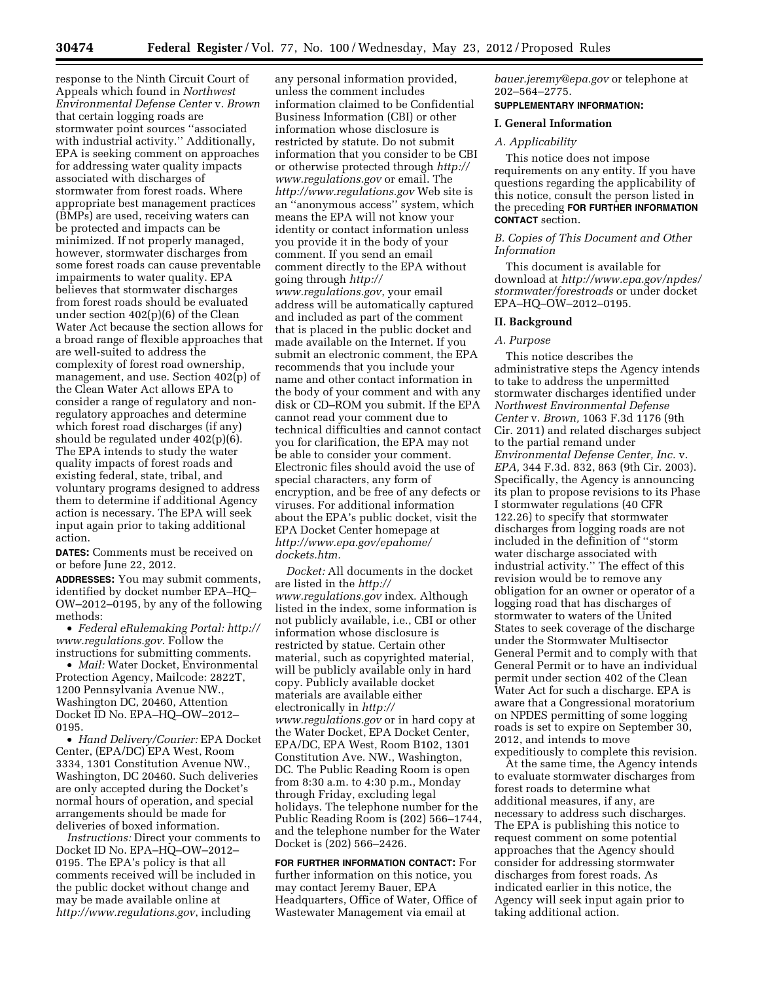response to the Ninth Circuit Court of Appeals which found in *Northwest Environmental Defense Center* v. *Brown*  that certain logging roads are stormwater point sources ''associated with industrial activity.'' Additionally, EPA is seeking comment on approaches for addressing water quality impacts associated with discharges of stormwater from forest roads. Where appropriate best management practices (BMPs) are used, receiving waters can be protected and impacts can be minimized. If not properly managed, however, stormwater discharges from some forest roads can cause preventable impairments to water quality. EPA believes that stormwater discharges from forest roads should be evaluated under section 402(p)(6) of the Clean Water Act because the section allows for a broad range of flexible approaches that are well-suited to address the complexity of forest road ownership, management, and use. Section 402(p) of the Clean Water Act allows EPA to consider a range of regulatory and nonregulatory approaches and determine which forest road discharges (if any) should be regulated under 402(p)(6). The EPA intends to study the water quality impacts of forest roads and existing federal, state, tribal, and voluntary programs designed to address them to determine if additional Agency action is necessary. The EPA will seek input again prior to taking additional action.

**DATES:** Comments must be received on or before June 22, 2012.

**ADDRESSES:** You may submit comments, identified by docket number EPA–HQ– OW–2012–0195, by any of the following methods:

• *Federal eRulemaking Portal: [http://](http://www.regulations.gov)  [www.regulations.gov](http://www.regulations.gov)*. Follow the instructions for submitting comments.

• *Mail:* Water Docket, Environmental Protection Agency, Mailcode: 2822T, 1200 Pennsylvania Avenue NW., Washington DC, 20460, Attention Docket ID No. EPA–HQ–OW–2012– 0195.

• *Hand Delivery/Courier:* EPA Docket Center, (EPA/DC) EPA West, Room 3334, 1301 Constitution Avenue NW., Washington, DC 20460. Such deliveries are only accepted during the Docket's normal hours of operation, and special arrangements should be made for deliveries of boxed information.

*Instructions:* Direct your comments to Docket ID No. EPA–HQ–OW–2012– 0195. The EPA's policy is that all comments received will be included in the public docket without change and may be made available online at *<http://www.regulations.gov>*, including

any personal information provided, unless the comment includes information claimed to be Confidential Business Information (CBI) or other information whose disclosure is restricted by statute. Do not submit information that you consider to be CBI or otherwise protected through *[http://](http://www.regulations.gov)  [www.regulations.gov](http://www.regulations.gov)* or email. The *<http://www.regulations.gov>* Web site is an ''anonymous access'' system, which means the EPA will not know your identity or contact information unless you provide it in the body of your comment. If you send an email comment directly to the EPA without going through *[http://](http://www.regulations.gov) [www.regulations.gov](http://www.regulations.gov)*, your email address will be automatically captured and included as part of the comment that is placed in the public docket and made available on the Internet. If you submit an electronic comment, the EPA recommends that you include your name and other contact information in the body of your comment and with any disk or CD–ROM you submit. If the EPA cannot read your comment due to technical difficulties and cannot contact you for clarification, the EPA may not be able to consider your comment. Electronic files should avoid the use of special characters, any form of encryption, and be free of any defects or viruses. For additional information about the EPA's public docket, visit the EPA Docket Center homepage at *[http://www.epa.gov/epahome/](http://www.epa.gov/epahome/dockets.htm) [dockets.htm.](http://www.epa.gov/epahome/dockets.htm)* 

*Docket:* All documents in the docket are listed in the *[http://](http://www.regulations.gov) [www.regulations.gov](http://www.regulations.gov)* index. Although listed in the index, some information is not publicly available, i.e., CBI or other information whose disclosure is restricted by statue. Certain other material, such as copyrighted material, will be publicly available only in hard copy. Publicly available docket materials are available either electronically in *[http://](http://www.regulations.gov) [www.regulations.gov](http://www.regulations.gov)* or in hard copy at the Water Docket, EPA Docket Center, EPA/DC, EPA West, Room B102, 1301 Constitution Ave. NW., Washington, DC. The Public Reading Room is open from 8:30 a.m. to 4:30 p.m., Monday through Friday, excluding legal holidays. The telephone number for the Public Reading Room is (202) 566–1744, and the telephone number for the Water Docket is (202) 566–2426.

**FOR FURTHER INFORMATION CONTACT:** For further information on this notice, you may contact Jeremy Bauer, EPA Headquarters, Office of Water, Office of Wastewater Management via email at

*[bauer.jeremy@epa.gov](mailto:bauer.jeremy@epa.gov)* or telephone at 202–564–2775.

# **SUPPLEMENTARY INFORMATION:**

# **I. General Information**

#### *A. Applicability*

This notice does not impose requirements on any entity. If you have questions regarding the applicability of this notice, consult the person listed in the preceding **FOR FURTHER INFORMATION CONTACT** section.

## *B. Copies of This Document and Other Information*

This document is available for download at *[http://www.epa.gov/npdes/](http://www.epa.gov/npdes/stormwater/forestroads) [stormwater/forestroads](http://www.epa.gov/npdes/stormwater/forestroads)* or under docket EPA–HQ–OW–2012–0195.

### **II. Background**

### *A. Purpose*

This notice describes the administrative steps the Agency intends to take to address the unpermitted stormwater discharges identified under *Northwest Environmental Defense Center* v. *Brown,* 1063 F.3d 1176 (9th Cir. 2011) and related discharges subject to the partial remand under *Environmental Defense Center, Inc.* v. *EPA,* 344 F.3d. 832, 863 (9th Cir. 2003). Specifically, the Agency is announcing its plan to propose revisions to its Phase I stormwater regulations (40 CFR 122.26) to specify that stormwater discharges from logging roads are not included in the definition of ''storm water discharge associated with industrial activity.'' The effect of this revision would be to remove any obligation for an owner or operator of a logging road that has discharges of stormwater to waters of the United States to seek coverage of the discharge under the Stormwater Multisector General Permit and to comply with that General Permit or to have an individual permit under section 402 of the Clean Water Act for such a discharge. EPA is aware that a Congressional moratorium on NPDES permitting of some logging roads is set to expire on September 30, 2012, and intends to move expeditiously to complete this revision.

At the same time, the Agency intends to evaluate stormwater discharges from forest roads to determine what additional measures, if any, are necessary to address such discharges. The EPA is publishing this notice to request comment on some potential approaches that the Agency should consider for addressing stormwater discharges from forest roads. As indicated earlier in this notice, the Agency will seek input again prior to taking additional action.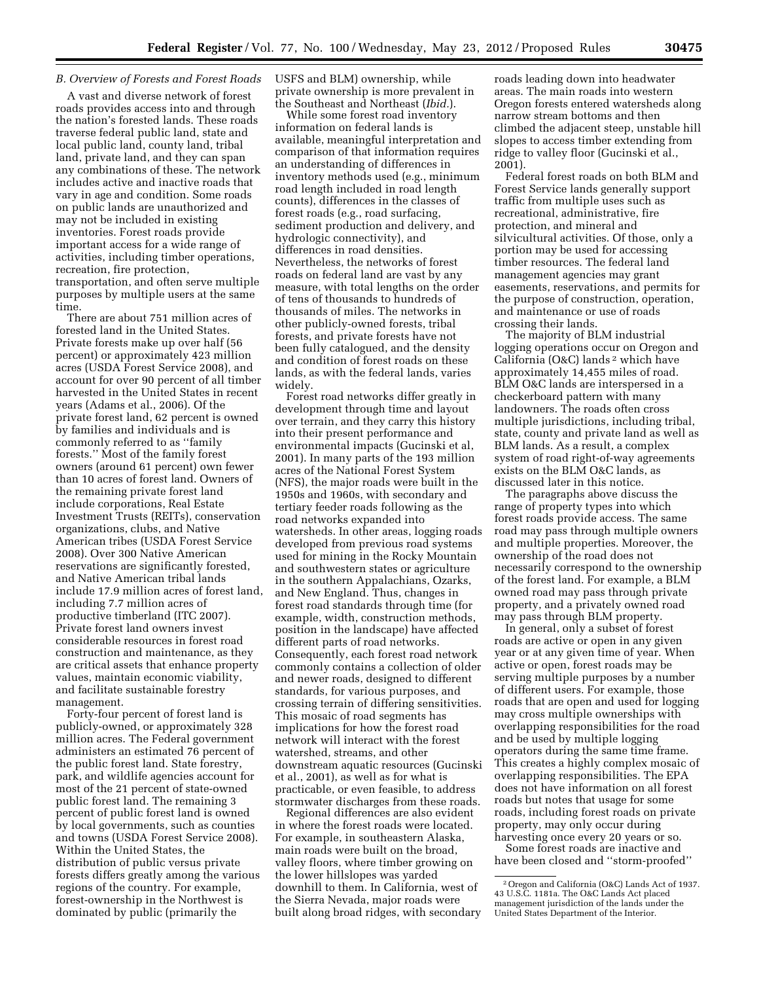# *B. Overview of Forests and Forest Roads*

A vast and diverse network of forest roads provides access into and through the nation's forested lands. These roads traverse federal public land, state and local public land, county land, tribal land, private land, and they can span any combinations of these. The network includes active and inactive roads that vary in age and condition. Some roads on public lands are unauthorized and may not be included in existing inventories. Forest roads provide important access for a wide range of activities, including timber operations, recreation, fire protection, transportation, and often serve multiple purposes by multiple users at the same time.

There are about 751 million acres of forested land in the United States. Private forests make up over half (56 percent) or approximately 423 million acres (USDA Forest Service 2008), and account for over 90 percent of all timber harvested in the United States in recent years (Adams et al., 2006). Of the private forest land, 62 percent is owned by families and individuals and is commonly referred to as ''family forests.'' Most of the family forest owners (around 61 percent) own fewer than 10 acres of forest land. Owners of the remaining private forest land include corporations, Real Estate Investment Trusts (REITs), conservation organizations, clubs, and Native American tribes (USDA Forest Service 2008). Over 300 Native American reservations are significantly forested, and Native American tribal lands include 17.9 million acres of forest land, including 7.7 million acres of productive timberland (ITC 2007). Private forest land owners invest considerable resources in forest road construction and maintenance, as they are critical assets that enhance property values, maintain economic viability, and facilitate sustainable forestry management.

Forty-four percent of forest land is publicly-owned, or approximately 328 million acres. The Federal government administers an estimated 76 percent of the public forest land. State forestry, park, and wildlife agencies account for most of the 21 percent of state-owned public forest land. The remaining 3 percent of public forest land is owned by local governments, such as counties and towns (USDA Forest Service 2008). Within the United States, the distribution of public versus private forests differs greatly among the various regions of the country. For example, forest-ownership in the Northwest is dominated by public (primarily the

USFS and BLM) ownership, while private ownership is more prevalent in the Southeast and Northeast (*Ibid.*).

While some forest road inventory information on federal lands is available, meaningful interpretation and comparison of that information requires an understanding of differences in inventory methods used (e.g., minimum road length included in road length counts), differences in the classes of forest roads (e.g., road surfacing, sediment production and delivery, and hydrologic connectivity), and differences in road densities. Nevertheless, the networks of forest roads on federal land are vast by any measure, with total lengths on the order of tens of thousands to hundreds of thousands of miles. The networks in other publicly-owned forests, tribal forests, and private forests have not been fully catalogued, and the density and condition of forest roads on these lands, as with the federal lands, varies widely.

Forest road networks differ greatly in development through time and layout over terrain, and they carry this history into their present performance and environmental impacts (Gucinski et al, 2001). In many parts of the 193 million acres of the National Forest System (NFS), the major roads were built in the 1950s and 1960s, with secondary and tertiary feeder roads following as the road networks expanded into watersheds. In other areas, logging roads developed from previous road systems used for mining in the Rocky Mountain and southwestern states or agriculture in the southern Appalachians, Ozarks, and New England. Thus, changes in forest road standards through time (for example, width, construction methods, position in the landscape) have affected different parts of road networks. Consequently, each forest road network commonly contains a collection of older and newer roads, designed to different standards, for various purposes, and crossing terrain of differing sensitivities. This mosaic of road segments has implications for how the forest road network will interact with the forest watershed, streams, and other downstream aquatic resources (Gucinski et al., 2001), as well as for what is practicable, or even feasible, to address stormwater discharges from these roads.

Regional differences are also evident in where the forest roads were located. For example, in southeastern Alaska, main roads were built on the broad, valley floors, where timber growing on the lower hillslopes was yarded downhill to them. In California, west of the Sierra Nevada, major roads were built along broad ridges, with secondary roads leading down into headwater areas. The main roads into western Oregon forests entered watersheds along narrow stream bottoms and then climbed the adjacent steep, unstable hill slopes to access timber extending from ridge to valley floor (Gucinski et al., 2001).

Federal forest roads on both BLM and Forest Service lands generally support traffic from multiple uses such as recreational, administrative, fire protection, and mineral and silvicultural activities. Of those, only a portion may be used for accessing timber resources. The federal land management agencies may grant easements, reservations, and permits for the purpose of construction, operation, and maintenance or use of roads crossing their lands.

The majority of BLM industrial logging operations occur on Oregon and California (O&C) lands 2 which have approximately 14,455 miles of road. BLM O&C lands are interspersed in a checkerboard pattern with many landowners. The roads often cross multiple jurisdictions, including tribal, state, county and private land as well as BLM lands. As a result, a complex system of road right-of-way agreements exists on the BLM O&C lands, as discussed later in this notice.

The paragraphs above discuss the range of property types into which forest roads provide access. The same road may pass through multiple owners and multiple properties. Moreover, the ownership of the road does not necessarily correspond to the ownership of the forest land. For example, a BLM owned road may pass through private property, and a privately owned road may pass through BLM property.

In general, only a subset of forest roads are active or open in any given year or at any given time of year. When active or open, forest roads may be serving multiple purposes by a number of different users. For example, those roads that are open and used for logging may cross multiple ownerships with overlapping responsibilities for the road and be used by multiple logging operators during the same time frame. This creates a highly complex mosaic of overlapping responsibilities. The EPA does not have information on all forest roads but notes that usage for some roads, including forest roads on private property, may only occur during harvesting once every 20 years or so.

Some forest roads are inactive and have been closed and ''storm-proofed''

<sup>2</sup>Oregon and California (O&C) Lands Act of 1937. 43 U.S.C. 1181a. The O&C Lands Act placed management jurisdiction of the lands under the United States Department of the Interior.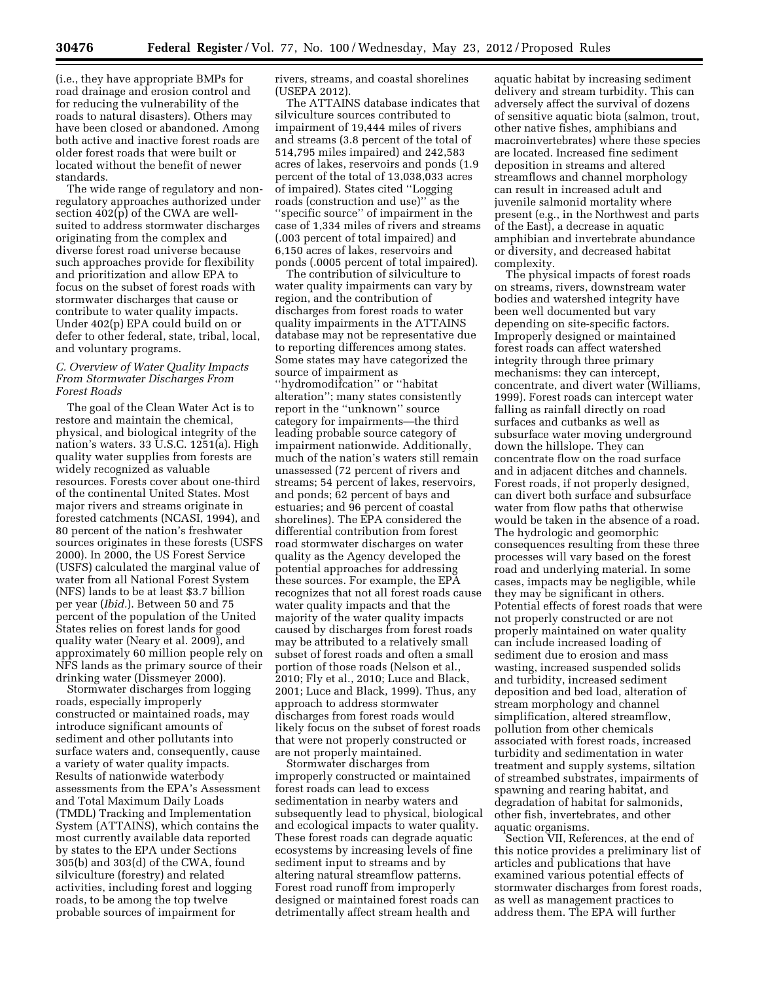(i.e., they have appropriate BMPs for road drainage and erosion control and for reducing the vulnerability of the roads to natural disasters). Others may have been closed or abandoned. Among both active and inactive forest roads are older forest roads that were built or located without the benefit of newer standards.

The wide range of regulatory and nonregulatory approaches authorized under section 402(p) of the CWA are wellsuited to address stormwater discharges originating from the complex and diverse forest road universe because such approaches provide for flexibility and prioritization and allow EPA to focus on the subset of forest roads with stormwater discharges that cause or contribute to water quality impacts. Under 402(p) EPA could build on or defer to other federal, state, tribal, local, and voluntary programs.

# *C. Overview of Water Quality Impacts From Stormwater Discharges From Forest Roads*

The goal of the Clean Water Act is to restore and maintain the chemical, physical, and biological integrity of the nation's waters. 33 U.S.C. 1251(a). High quality water supplies from forests are widely recognized as valuable resources. Forests cover about one-third of the continental United States. Most major rivers and streams originate in forested catchments (NCASI, 1994), and 80 percent of the nation's freshwater sources originates in these forests (USFS 2000). In 2000, the US Forest Service (USFS) calculated the marginal value of water from all National Forest System (NFS) lands to be at least \$3.7 billion per year (*Ibid.*). Between 50 and 75 percent of the population of the United States relies on forest lands for good quality water (Neary et al. 2009), and approximately 60 million people rely on NFS lands as the primary source of their drinking water (Dissmeyer 2000).

Stormwater discharges from logging roads, especially improperly constructed or maintained roads, may introduce significant amounts of sediment and other pollutants into surface waters and, consequently, cause a variety of water quality impacts. Results of nationwide waterbody assessments from the EPA's Assessment and Total Maximum Daily Loads (TMDL) Tracking and Implementation System (ATTAINS), which contains the most currently available data reported by states to the EPA under Sections 305(b) and 303(d) of the CWA, found silviculture (forestry) and related activities, including forest and logging roads, to be among the top twelve probable sources of impairment for

rivers, streams, and coastal shorelines (USEPA 2012).

The ATTAINS database indicates that silviculture sources contributed to impairment of 19,444 miles of rivers and streams (3.8 percent of the total of 514,795 miles impaired) and 242,583 acres of lakes, reservoirs and ponds (1.9 percent of the total of 13,038,033 acres of impaired). States cited ''Logging roads (construction and use)'' as the ''specific source'' of impairment in the case of 1,334 miles of rivers and streams (.003 percent of total impaired) and 6,150 acres of lakes, reservoirs and ponds (.0005 percent of total impaired).

The contribution of silviculture to water quality impairments can vary by region, and the contribution of discharges from forest roads to water quality impairments in the ATTAINS database may not be representative due to reporting differences among states. Some states may have categorized the source of impairment as ''hydromodifcation'' or ''habitat alteration''; many states consistently report in the ''unknown'' source category for impairments—the third leading probable source category of impairment nationwide. Additionally, much of the nation's waters still remain unassessed (72 percent of rivers and streams; 54 percent of lakes, reservoirs, and ponds; 62 percent of bays and estuaries; and 96 percent of coastal shorelines). The EPA considered the differential contribution from forest road stormwater discharges on water quality as the Agency developed the potential approaches for addressing these sources. For example, the EPA recognizes that not all forest roads cause water quality impacts and that the majority of the water quality impacts caused by discharges from forest roads may be attributed to a relatively small subset of forest roads and often a small portion of those roads (Nelson et al., 2010; Fly et al., 2010; Luce and Black, 2001; Luce and Black, 1999). Thus, any approach to address stormwater discharges from forest roads would likely focus on the subset of forest roads that were not properly constructed or are not properly maintained.

Stormwater discharges from improperly constructed or maintained forest roads can lead to excess sedimentation in nearby waters and subsequently lead to physical, biological and ecological impacts to water quality. These forest roads can degrade aquatic ecosystems by increasing levels of fine sediment input to streams and by altering natural streamflow patterns. Forest road runoff from improperly designed or maintained forest roads can detrimentally affect stream health and

aquatic habitat by increasing sediment delivery and stream turbidity. This can adversely affect the survival of dozens of sensitive aquatic biota (salmon, trout, other native fishes, amphibians and macroinvertebrates) where these species are located. Increased fine sediment deposition in streams and altered streamflows and channel morphology can result in increased adult and juvenile salmonid mortality where present (e.g., in the Northwest and parts of the East), a decrease in aquatic amphibian and invertebrate abundance or diversity, and decreased habitat complexity.

The physical impacts of forest roads on streams, rivers, downstream water bodies and watershed integrity have been well documented but vary depending on site-specific factors. Improperly designed or maintained forest roads can affect watershed integrity through three primary mechanisms: they can intercept, concentrate, and divert water (Williams, 1999). Forest roads can intercept water falling as rainfall directly on road surfaces and cutbanks as well as subsurface water moving underground down the hillslope. They can concentrate flow on the road surface and in adjacent ditches and channels. Forest roads, if not properly designed, can divert both surface and subsurface water from flow paths that otherwise would be taken in the absence of a road. The hydrologic and geomorphic consequences resulting from these three processes will vary based on the forest road and underlying material. In some cases, impacts may be negligible, while they may be significant in others. Potential effects of forest roads that were not properly constructed or are not properly maintained on water quality can include increased loading of sediment due to erosion and mass wasting, increased suspended solids and turbidity, increased sediment deposition and bed load, alteration of stream morphology and channel simplification, altered streamflow, pollution from other chemicals associated with forest roads, increased turbidity and sedimentation in water treatment and supply systems, siltation of streambed substrates, impairments of spawning and rearing habitat, and degradation of habitat for salmonids, other fish, invertebrates, and other aquatic organisms.

Section VII, References, at the end of this notice provides a preliminary list of articles and publications that have examined various potential effects of stormwater discharges from forest roads, as well as management practices to address them. The EPA will further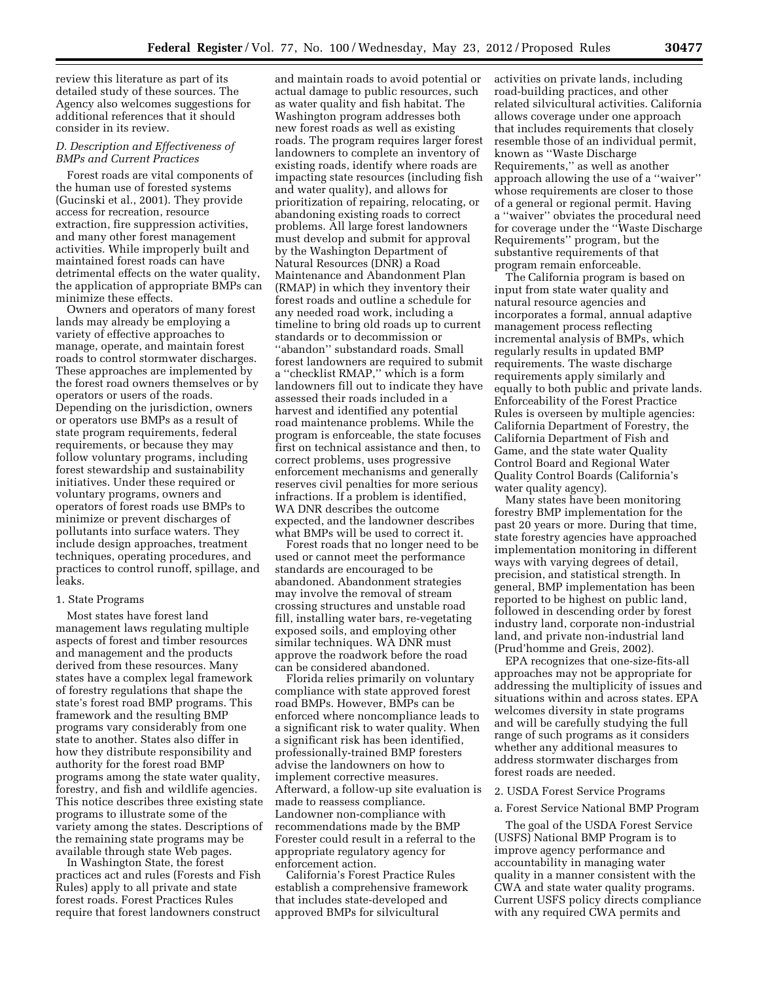review this literature as part of its detailed study of these sources. The Agency also welcomes suggestions for additional references that it should consider in its review.

# *D. Description and Effectiveness of BMPs and Current Practices*

Forest roads are vital components of the human use of forested systems (Gucinski et al., 2001). They provide access for recreation, resource extraction, fire suppression activities, and many other forest management activities. While improperly built and maintained forest roads can have detrimental effects on the water quality, the application of appropriate BMPs can minimize these effects.

Owners and operators of many forest lands may already be employing a variety of effective approaches to manage, operate, and maintain forest roads to control stormwater discharges. These approaches are implemented by the forest road owners themselves or by operators or users of the roads. Depending on the jurisdiction, owners or operators use BMPs as a result of state program requirements, federal requirements, or because they may follow voluntary programs, including forest stewardship and sustainability initiatives. Under these required or voluntary programs, owners and operators of forest roads use BMPs to minimize or prevent discharges of pollutants into surface waters. They include design approaches, treatment techniques, operating procedures, and practices to control runoff, spillage, and leaks.

#### 1. State Programs

Most states have forest land management laws regulating multiple aspects of forest and timber resources and management and the products derived from these resources. Many states have a complex legal framework of forestry regulations that shape the state's forest road BMP programs. This framework and the resulting BMP programs vary considerably from one state to another. States also differ in how they distribute responsibility and authority for the forest road BMP programs among the state water quality, forestry, and fish and wildlife agencies. This notice describes three existing state programs to illustrate some of the variety among the states. Descriptions of the remaining state programs may be available through state Web pages.

In Washington State, the forest practices act and rules (Forests and Fish Rules) apply to all private and state forest roads. Forest Practices Rules require that forest landowners construct

and maintain roads to avoid potential or actual damage to public resources, such as water quality and fish habitat. The Washington program addresses both new forest roads as well as existing roads. The program requires larger forest landowners to complete an inventory of existing roads, identify where roads are impacting state resources (including fish and water quality), and allows for prioritization of repairing, relocating, or abandoning existing roads to correct problems. All large forest landowners must develop and submit for approval by the Washington Department of Natural Resources (DNR) a Road Maintenance and Abandonment Plan (RMAP) in which they inventory their forest roads and outline a schedule for any needed road work, including a timeline to bring old roads up to current standards or to decommission or ''abandon'' substandard roads. Small forest landowners are required to submit a ''checklist RMAP,'' which is a form landowners fill out to indicate they have assessed their roads included in a harvest and identified any potential road maintenance problems. While the program is enforceable, the state focuses first on technical assistance and then, to correct problems, uses progressive enforcement mechanisms and generally reserves civil penalties for more serious infractions. If a problem is identified, WA DNR describes the outcome expected, and the landowner describes what BMPs will be used to correct it.

Forest roads that no longer need to be used or cannot meet the performance standards are encouraged to be abandoned. Abandonment strategies may involve the removal of stream crossing structures and unstable road fill, installing water bars, re-vegetating exposed soils, and employing other similar techniques. WA DNR must approve the roadwork before the road can be considered abandoned.

Florida relies primarily on voluntary compliance with state approved forest road BMPs. However, BMPs can be enforced where noncompliance leads to a significant risk to water quality. When a significant risk has been identified, professionally-trained BMP foresters advise the landowners on how to implement corrective measures. Afterward, a follow-up site evaluation is made to reassess compliance. Landowner non-compliance with recommendations made by the BMP Forester could result in a referral to the appropriate regulatory agency for enforcement action.

California's Forest Practice Rules establish a comprehensive framework that includes state-developed and approved BMPs for silvicultural

activities on private lands, including road-building practices, and other related silvicultural activities. California allows coverage under one approach that includes requirements that closely resemble those of an individual permit, known as ''Waste Discharge Requirements,'' as well as another approach allowing the use of a ''waiver'' whose requirements are closer to those of a general or regional permit. Having a ''waiver'' obviates the procedural need for coverage under the ''Waste Discharge Requirements'' program, but the substantive requirements of that program remain enforceable.

The California program is based on input from state water quality and natural resource agencies and incorporates a formal, annual adaptive management process reflecting incremental analysis of BMPs, which regularly results in updated BMP requirements. The waste discharge requirements apply similarly and equally to both public and private lands. Enforceability of the Forest Practice Rules is overseen by multiple agencies: California Department of Forestry, the California Department of Fish and Game, and the state water Quality Control Board and Regional Water Quality Control Boards (California's water quality agency).

Many states have been monitoring forestry BMP implementation for the past 20 years or more. During that time, state forestry agencies have approached implementation monitoring in different ways with varying degrees of detail, precision, and statistical strength. In general, BMP implementation has been reported to be highest on public land, followed in descending order by forest industry land, corporate non-industrial land, and private non-industrial land (Prud'homme and Greis, 2002).

EPA recognizes that one-size-fits-all approaches may not be appropriate for addressing the multiplicity of issues and situations within and across states. EPA welcomes diversity in state programs and will be carefully studying the full range of such programs as it considers whether any additional measures to address stormwater discharges from forest roads are needed.

### 2. USDA Forest Service Programs

#### a. Forest Service National BMP Program

The goal of the USDA Forest Service (USFS) National BMP Program is to improve agency performance and accountability in managing water quality in a manner consistent with the CWA and state water quality programs. Current USFS policy directs compliance with any required CWA permits and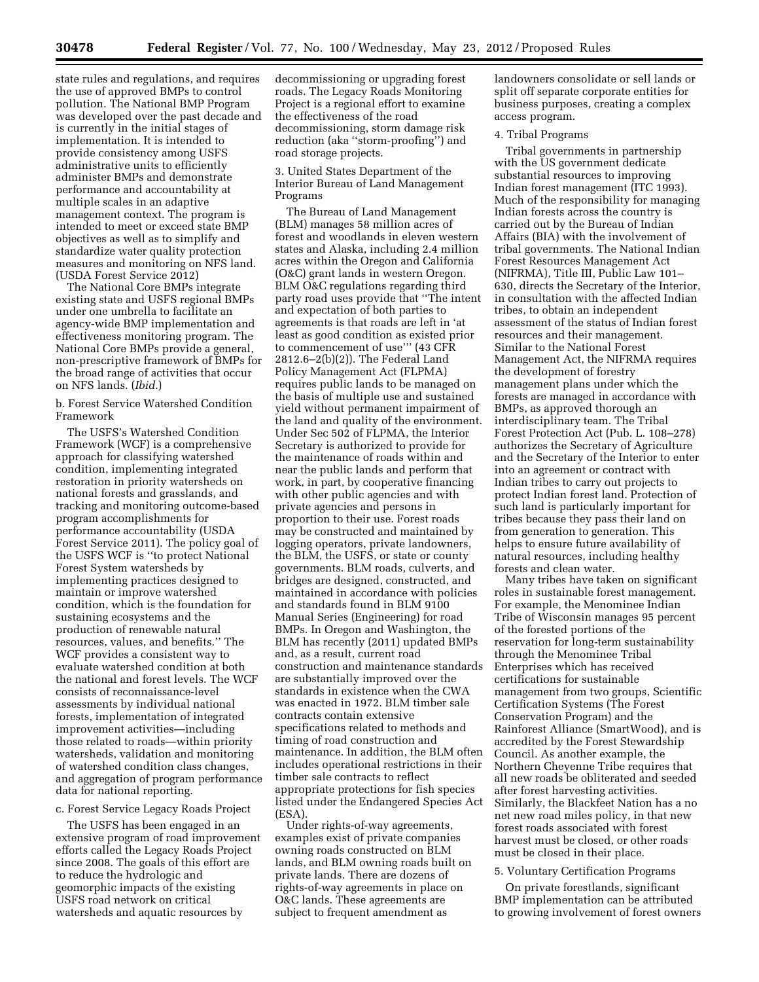state rules and regulations, and requires the use of approved BMPs to control pollution. The National BMP Program was developed over the past decade and is currently in the initial stages of implementation. It is intended to provide consistency among USFS administrative units to efficiently administer BMPs and demonstrate performance and accountability at multiple scales in an adaptive management context. The program is intended to meet or exceed state BMP objectives as well as to simplify and standardize water quality protection measures and monitoring on NFS land. (USDA Forest Service 2012)

The National Core BMPs integrate existing state and USFS regional BMPs under one umbrella to facilitate an agency-wide BMP implementation and effectiveness monitoring program. The National Core BMPs provide a general, non-prescriptive framework of BMPs for the broad range of activities that occur on NFS lands. (*Ibid.*)

# b. Forest Service Watershed Condition Framework

The USFS's Watershed Condition Framework (WCF) is a comprehensive approach for classifying watershed condition, implementing integrated restoration in priority watersheds on national forests and grasslands, and tracking and monitoring outcome-based program accomplishments for performance accountability (USDA Forest Service 2011). The policy goal of the USFS WCF is ''to protect National Forest System watersheds by implementing practices designed to maintain or improve watershed condition, which is the foundation for sustaining ecosystems and the production of renewable natural resources, values, and benefits.'' The WCF provides a consistent way to evaluate watershed condition at both the national and forest levels. The WCF consists of reconnaissance-level assessments by individual national forests, implementation of integrated improvement activities—including those related to roads—within priority watersheds, validation and monitoring of watershed condition class changes, and aggregation of program performance data for national reporting.

# c. Forest Service Legacy Roads Project

The USFS has been engaged in an extensive program of road improvement efforts called the Legacy Roads Project since 2008. The goals of this effort are to reduce the hydrologic and geomorphic impacts of the existing USFS road network on critical watersheds and aquatic resources by

decommissioning or upgrading forest roads. The Legacy Roads Monitoring Project is a regional effort to examine the effectiveness of the road decommissioning, storm damage risk reduction (aka ''storm-proofing'') and road storage projects.

3. United States Department of the Interior Bureau of Land Management Programs

The Bureau of Land Management (BLM) manages 58 million acres of forest and woodlands in eleven western states and Alaska, including 2.4 million acres within the Oregon and California (O&C) grant lands in western Oregon. BLM O&C regulations regarding third party road uses provide that ''The intent and expectation of both parties to agreements is that roads are left in 'at least as good condition as existed prior to commencement of use''' (43 CFR 2812.6–2(b)(2)). The Federal Land Policy Management Act (FLPMA) requires public lands to be managed on the basis of multiple use and sustained yield without permanent impairment of the land and quality of the environment. Under Sec 502 of FLPMA, the Interior Secretary is authorized to provide for the maintenance of roads within and near the public lands and perform that work, in part, by cooperative financing with other public agencies and with private agencies and persons in proportion to their use. Forest roads may be constructed and maintained by logging operators, private landowners, the BLM, the USFS, or state or county governments. BLM roads, culverts, and bridges are designed, constructed, and maintained in accordance with policies and standards found in BLM 9100 Manual Series (Engineering) for road BMPs. In Oregon and Washington, the BLM has recently (2011) updated BMPs and, as a result, current road construction and maintenance standards are substantially improved over the standards in existence when the CWA was enacted in 1972. BLM timber sale contracts contain extensive specifications related to methods and timing of road construction and maintenance. In addition, the BLM often includes operational restrictions in their timber sale contracts to reflect appropriate protections for fish species listed under the Endangered Species Act (ESA).

Under rights-of-way agreements, examples exist of private companies owning roads constructed on BLM lands, and BLM owning roads built on private lands. There are dozens of rights-of-way agreements in place on O&C lands. These agreements are subject to frequent amendment as

landowners consolidate or sell lands or split off separate corporate entities for business purposes, creating a complex access program.

# 4. Tribal Programs

Tribal governments in partnership with the US government dedicate substantial resources to improving Indian forest management (ITC 1993). Much of the responsibility for managing Indian forests across the country is carried out by the Bureau of Indian Affairs (BIA) with the involvement of tribal governments. The National Indian Forest Resources Management Act (NIFRMA), Title III, Public Law 101– 630, directs the Secretary of the Interior, in consultation with the affected Indian tribes, to obtain an independent assessment of the status of Indian forest resources and their management. Similar to the National Forest Management Act, the NIFRMA requires the development of forestry management plans under which the forests are managed in accordance with BMPs, as approved thorough an interdisciplinary team. The Tribal Forest Protection Act (Pub. L. 108–278) authorizes the Secretary of Agriculture and the Secretary of the Interior to enter into an agreement or contract with Indian tribes to carry out projects to protect Indian forest land. Protection of such land is particularly important for tribes because they pass their land on from generation to generation. This helps to ensure future availability of natural resources, including healthy forests and clean water.

Many tribes have taken on significant roles in sustainable forest management. For example, the Menominee Indian Tribe of Wisconsin manages 95 percent of the forested portions of the reservation for long-term sustainability through the Menominee Tribal Enterprises which has received certifications for sustainable management from two groups, Scientific Certification Systems (The Forest Conservation Program) and the Rainforest Alliance (SmartWood), and is accredited by the Forest Stewardship Council. As another example, the Northern Cheyenne Tribe requires that all new roads be obliterated and seeded after forest harvesting activities. Similarly, the Blackfeet Nation has a no net new road miles policy, in that new forest roads associated with forest harvest must be closed, or other roads must be closed in their place.

#### 5. Voluntary Certification Programs

On private forestlands, significant BMP implementation can be attributed to growing involvement of forest owners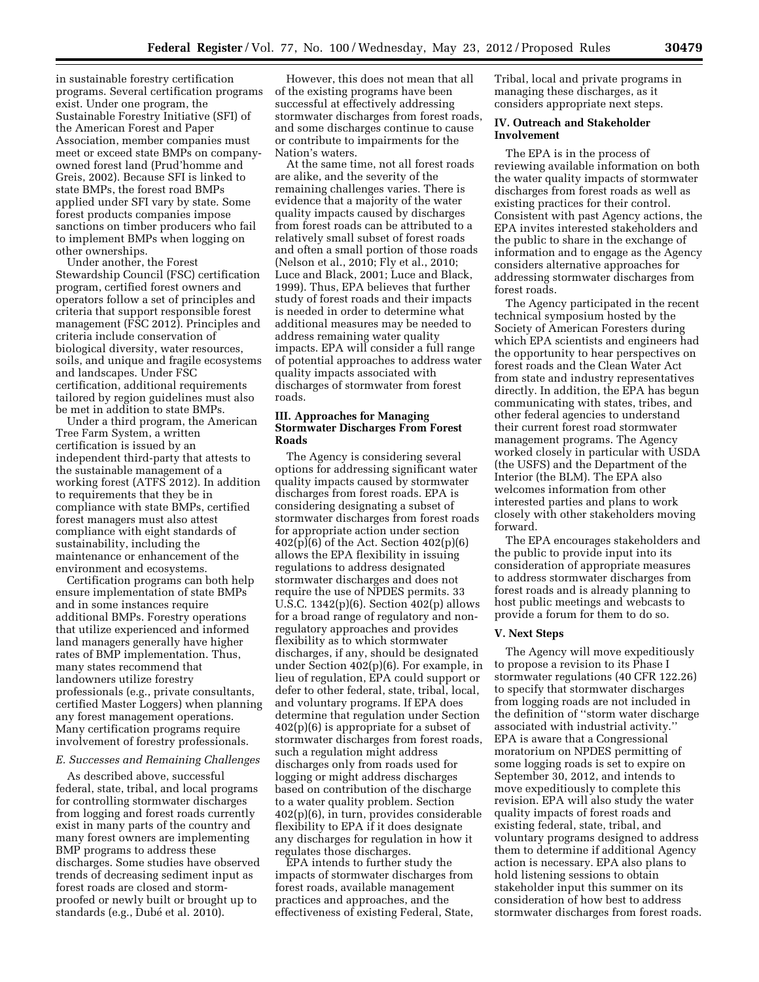in sustainable forestry certification programs. Several certification programs exist. Under one program, the Sustainable Forestry Initiative (SFI) of the American Forest and Paper Association, member companies must meet or exceed state BMPs on companyowned forest land (Prud'homme and Greis, 2002). Because SFI is linked to state BMPs, the forest road BMPs applied under SFI vary by state. Some forest products companies impose sanctions on timber producers who fail to implement BMPs when logging on other ownerships.

Under another, the Forest Stewardship Council (FSC) certification program, certified forest owners and operators follow a set of principles and criteria that support responsible forest management (FSC 2012). Principles and criteria include conservation of biological diversity, water resources, soils, and unique and fragile ecosystems and landscapes. Under FSC certification, additional requirements tailored by region guidelines must also be met in addition to state BMPs.

Under a third program, the American Tree Farm System, a written certification is issued by an independent third-party that attests to the sustainable management of a working forest (ATFS 2012). In addition to requirements that they be in compliance with state BMPs, certified forest managers must also attest compliance with eight standards of sustainability, including the maintenance or enhancement of the environment and ecosystems.

Certification programs can both help ensure implementation of state BMPs and in some instances require additional BMPs. Forestry operations that utilize experienced and informed land managers generally have higher rates of BMP implementation. Thus, many states recommend that landowners utilize forestry professionals (e.g., private consultants, certified Master Loggers) when planning any forest management operations. Many certification programs require involvement of forestry professionals.

### *E. Successes and Remaining Challenges*

As described above, successful federal, state, tribal, and local programs for controlling stormwater discharges from logging and forest roads currently exist in many parts of the country and many forest owners are implementing BMP programs to address these discharges. Some studies have observed trends of decreasing sediment input as forest roads are closed and stormproofed or newly built or brought up to standards (e.g., Dubé et al. 2010).

However, this does not mean that all of the existing programs have been successful at effectively addressing stormwater discharges from forest roads, and some discharges continue to cause or contribute to impairments for the Nation's waters.

At the same time, not all forest roads are alike, and the severity of the remaining challenges varies. There is evidence that a majority of the water quality impacts caused by discharges from forest roads can be attributed to a relatively small subset of forest roads and often a small portion of those roads (Nelson et al., 2010; Fly et al., 2010; Luce and Black, 2001; Luce and Black, 1999). Thus, EPA believes that further study of forest roads and their impacts is needed in order to determine what additional measures may be needed to address remaining water quality impacts. EPA will consider a full range of potential approaches to address water quality impacts associated with discharges of stormwater from forest roads.

# **III. Approaches for Managing Stormwater Discharges From Forest Roads**

The Agency is considering several options for addressing significant water quality impacts caused by stormwater discharges from forest roads. EPA is considering designating a subset of stormwater discharges from forest roads for appropriate action under section 402(p)(6) of the Act. Section 402(p)(6) allows the EPA flexibility in issuing regulations to address designated stormwater discharges and does not require the use of NPDES permits. 33 U.S.C. 1342(p)(6). Section 402(p) allows for a broad range of regulatory and nonregulatory approaches and provides flexibility as to which stormwater discharges, if any, should be designated under Section 402(p)(6). For example, in lieu of regulation, EPA could support or defer to other federal, state, tribal, local, and voluntary programs. If EPA does determine that regulation under Section 402(p)(6) is appropriate for a subset of stormwater discharges from forest roads, such a regulation might address discharges only from roads used for logging or might address discharges based on contribution of the discharge to a water quality problem. Section 402(p)(6), in turn, provides considerable flexibility to EPA if it does designate any discharges for regulation in how it regulates those discharges.

EPA intends to further study the impacts of stormwater discharges from forest roads, available management practices and approaches, and the effectiveness of existing Federal, State,

Tribal, local and private programs in managing these discharges, as it considers appropriate next steps.

# **IV. Outreach and Stakeholder Involvement**

The EPA is in the process of reviewing available information on both the water quality impacts of stormwater discharges from forest roads as well as existing practices for their control. Consistent with past Agency actions, the EPA invites interested stakeholders and the public to share in the exchange of information and to engage as the Agency considers alternative approaches for addressing stormwater discharges from forest roads.

The Agency participated in the recent technical symposium hosted by the Society of American Foresters during which EPA scientists and engineers had the opportunity to hear perspectives on forest roads and the Clean Water Act from state and industry representatives directly. In addition, the EPA has begun communicating with states, tribes, and other federal agencies to understand their current forest road stormwater management programs. The Agency worked closely in particular with USDA (the USFS) and the Department of the Interior (the BLM). The EPA also welcomes information from other interested parties and plans to work closely with other stakeholders moving forward.

The EPA encourages stakeholders and the public to provide input into its consideration of appropriate measures to address stormwater discharges from forest roads and is already planning to host public meetings and webcasts to provide a forum for them to do so.

### **V. Next Steps**

The Agency will move expeditiously to propose a revision to its Phase I stormwater regulations (40 CFR 122.26) to specify that stormwater discharges from logging roads are not included in the definition of ''storm water discharge associated with industrial activity.'' EPA is aware that a Congressional moratorium on NPDES permitting of some logging roads is set to expire on September 30, 2012, and intends to move expeditiously to complete this revision. EPA will also study the water quality impacts of forest roads and existing federal, state, tribal, and voluntary programs designed to address them to determine if additional Agency action is necessary. EPA also plans to hold listening sessions to obtain stakeholder input this summer on its consideration of how best to address stormwater discharges from forest roads.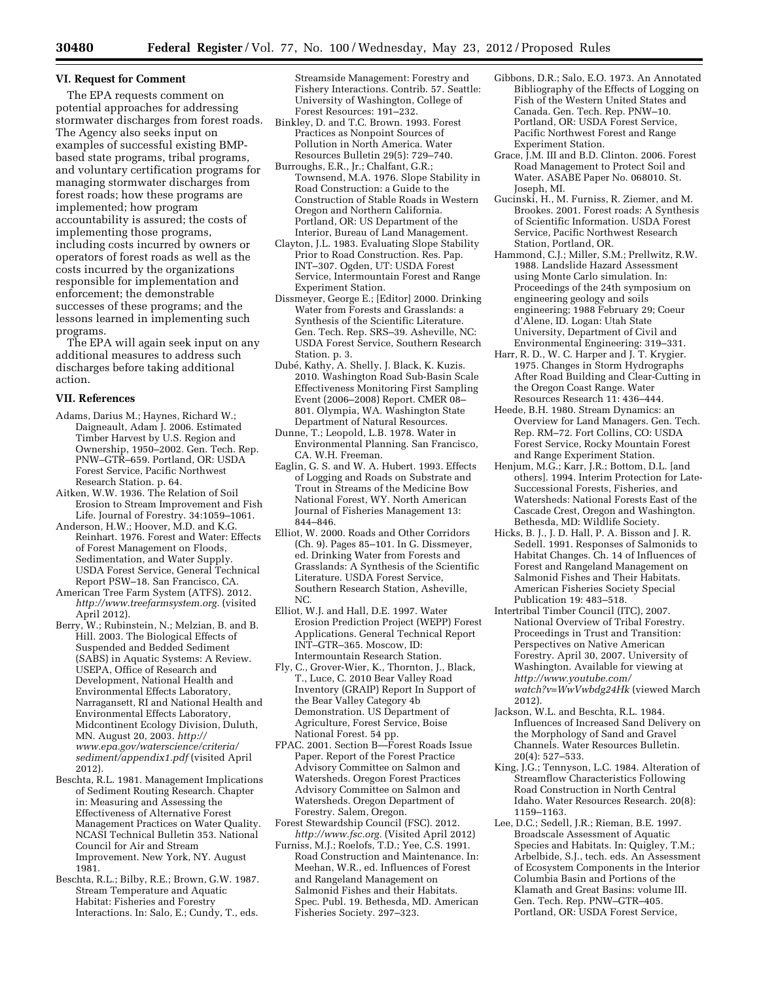#### **VI. Request for Comment**

The EPA requests comment on potential approaches for addressing stormwater discharges from forest roads. The Agency also seeks input on examples of successful existing BMPbased state programs, tribal programs, and voluntary certification programs for managing stormwater discharges from forest roads; how these programs are implemented; how program accountability is assured; the costs of implementing those programs, including costs incurred by owners or operators of forest roads as well as the costs incurred by the organizations responsible for implementation and enforcement; the demonstrable successes of these programs; and the lessons learned in implementing such programs.

The EPA will again seek input on any additional measures to address such discharges before taking additional action.

#### **VII. References**

Adams, Darius M.; Haynes, Richard W.; Daigneault, Adam J. 2006. Estimated Timber Harvest by U.S. Region and Ownership, 1950–2002. Gen. Tech. Rep. PNW–GTR–659. Portland, OR: USDA Forest Service, Pacific Northwest Research Station. p. 64.

Aitken, W.W. 1936. The Relation of Soil Erosion to Stream Improvement and Fish Life. Journal of Forestry. 34:1059–1061.

- Anderson, H.W.; Hoover, M.D. and K.G. Reinhart. 1976. Forest and Water: Effects of Forest Management on Floods, Sedimentation, and Water Supply. USDA Forest Service, General Technical Report PSW–18. San Francisco, CA.
- American Tree Farm System (ATFS). 2012. *[http://www.treefarmsystem.org.](http://www.treefarmsystem.org)* (visited April 2012).
- Berry, W.; Rubinstein, N.; Melzian, B. and B. Hill. 2003. The Biological Effects of Suspended and Bedded Sediment (SABS) in Aquatic Systems: A Review. USEPA, Office of Research and Development, National Health and Environmental Effects Laboratory, Narragansett, RI and National Health and Environmental Effects Laboratory, Midcontinent Ecology Division, Duluth, MN. August 20, 2003. *[http://](http://www.epa.gov/waterscience/criteria/sediment/appendix1.pdf)  [www.epa.gov/waterscience/criteria/](http://www.epa.gov/waterscience/criteria/sediment/appendix1.pdf)  [sediment/appendix1.pdf](http://www.epa.gov/waterscience/criteria/sediment/appendix1.pdf)* (visited April 2012).
- Beschta, R.L. 1981. Management Implications of Sediment Routing Research. Chapter in: Measuring and Assessing the Effectiveness of Alternative Forest Management Practices on Water Quality. NCASI Technical Bulletin 353. National Council for Air and Stream Improvement. New York, NY. August 1981.
- Beschta, R.L.; Bilby, R.E.; Brown, G.W. 1987. Stream Temperature and Aquatic Habitat: Fisheries and Forestry Interactions. In: Salo, E.; Cundy, T., eds.

Streamside Management: Forestry and Fishery Interactions. Contrib. 57. Seattle: University of Washington, College of Forest Resources: 191–232.

- Binkley, D. and T.C. Brown. 1993. Forest Practices as Nonpoint Sources of Pollution in North America. Water Resources Bulletin 29(5): 729–740.
- Burroughs, E.R., Jr.; Chalfant, G.R.; Townsend, M.A. 1976. Slope Stability in Road Construction: a Guide to the Construction of Stable Roads in Western Oregon and Northern California. Portland, OR: US Department of the Interior, Bureau of Land Management.
- Clayton, J.L. 1983. Evaluating Slope Stability Prior to Road Construction. Res. Pap. INT–307. Ogden, UT: USDA Forest Service, Intermountain Forest and Range Experiment Station.
- Dissmeyer, George E.; [Editor] 2000. Drinking Water from Forests and Grasslands: a Synthesis of the Scientific Literature. Gen. Tech. Rep. SRS–39. Asheville, NC: USDA Forest Service, Southern Research Station. p. 3.
- Dubé, Kathy, A. Shelly, J. Black, K. Kuzis. 2010. Washington Road Sub-Basin Scale Effectiveness Monitoring First Sampling Event (2006–2008) Report. CMER 08– 801. Olympia, WA. Washington State Department of Natural Resources.
- Dunne, T.; Leopold, L.B. 1978. Water in Environmental Planning. San Francisco, CA. W.H. Freeman.
- Eaglin, G. S. and W. A. Hubert. 1993. Effects of Logging and Roads on Substrate and Trout in Streams of the Medicine Bow National Forest, WY. North American Journal of Fisheries Management 13: 844–846.
- Elliot, W. 2000. Roads and Other Corridors (Ch. 9). Pages 85–101. In G. Dissmeyer, ed. Drinking Water from Forests and Grasslands: A Synthesis of the Scientific Literature. USDA Forest Service, Southern Research Station, Asheville, NC.
- Elliot, W.J. and Hall, D.E. 1997. Water Erosion Prediction Project (WEPP) Forest Applications. General Technical Report INT–GTR–365. Moscow, ID: Intermountain Research Station.
- Fly, C., Grover-Wier, K., Thornton, J., Black, T., Luce, C. 2010 Bear Valley Road Inventory (GRAIP) Report In Support of the Bear Valley Category 4b Demonstration. US Department of Agriculture, Forest Service, Boise National Forest. 54 pp.
- FPAC. 2001. Section B—Forest Roads Issue Paper. Report of the Forest Practice Advisory Committee on Salmon and Watersheds. Oregon Forest Practices Advisory Committee on Salmon and Watersheds. Oregon Department of Forestry. Salem, Oregon.
- Forest Stewardship Council (FSC). 2012. *[http://www.fsc.org.](http://www.fsc.org)* (Visited April 2012)
- Furniss, M.J.; Roelofs, T.D.; Yee, C.S. 1991. Road Construction and Maintenance. In: Meehan, W.R., ed. Influences of Forest and Rangeland Management on Salmonid Fishes and their Habitats. Spec. Publ. 19. Bethesda, MD. American Fisheries Society. 297–323.
- Gibbons, D.R.; Salo, E.O. 1973. An Annotated Bibliography of the Effects of Logging on Fish of the Western United States and Canada. Gen. Tech. Rep. PNW–10. Portland, OR: USDA Forest Service, Pacific Northwest Forest and Range Experiment Station.
- Grace, J.M. III and B.D. Clinton. 2006. Forest Road Management to Protect Soil and Water. ASABE Paper No. 068010. St. Joseph, MI.
- Gucinski, H., M. Furniss, R. Ziemer, and M. Brookes. 2001. Forest roads: A Synthesis of Scientific Information. USDA Forest Service, Pacific Northwest Research Station, Portland, OR.
- Hammond, C.J.; Miller, S.M.; Prellwitz, R.W. 1988. Landslide Hazard Assessment using Monte Carlo simulation. In: Proceedings of the 24th symposium on engineering geology and soils engineering; 1988 February 29; Coeur d'Alene, ID. Logan: Utah State University, Department of Civil and Environmental Engineering: 319–331.
- Harr, R. D., W. C. Harper and J. T. Krygier. 1975. Changes in Storm Hydrographs After Road Building and Clear-Cutting in the Oregon Coast Range. Water Resources Research 11: 436–444.
- Heede, B.H. 1980. Stream Dynamics: an Overview for Land Managers. Gen. Tech. Rep. RM–72. Fort Collins, CO: USDA Forest Service, Rocky Mountain Forest and Range Experiment Station.
- Henjum, M.G.; Karr, J.R.; Bottom, D.L. [and others]. 1994. Interim Protection for Late-Successional Forests, Fisheries, and Watersheds: National Forests East of the Cascade Crest, Oregon and Washington. Bethesda, MD: Wildlife Society.
- Hicks, B. J., J. D. Hall, P. A. Bisson and J. R. Sedell. 1991. Responses of Salmonids to Habitat Changes. Ch. 14 of Influences of Forest and Rangeland Management on Salmonid Fishes and Their Habitats. American Fisheries Society Special Publication 19: 483–518.
- Intertribal Timber Council (ITC), 2007. National Overview of Tribal Forestry. Proceedings in Trust and Transition: Perspectives on Native American Forestry. April 30, 2007. University of Washington. Available for viewing at *[http://www.youtube.com/](http://www.youtube.com/watch?v=WwVwbdg24Hk) [watch?v=WwVwbdg24Hk](http://www.youtube.com/watch?v=WwVwbdg24Hk)* (viewed March 2012).
- Jackson, W.L. and Beschta, R.L. 1984. Influences of Increased Sand Delivery on the Morphology of Sand and Gravel Channels. Water Resources Bulletin. 20(4): 527–533.
- King, J.G.; Tennyson, L.C. 1984. Alteration of Streamflow Characteristics Following Road Construction in North Central Idaho. Water Resources Research. 20(8): 1159–1163.
- Lee, D.C.; Sedell, J.R.; Rieman, B.E. 1997. Broadscale Assessment of Aquatic Species and Habitats. In: Quigley, T.M.; Arbelbide, S.J., tech. eds. An Assessment of Ecosystem Components in the Interior Columbia Basin and Portions of the Klamath and Great Basins: volume III. Gen. Tech. Rep. PNW–GTR–405. Portland, OR: USDA Forest Service,